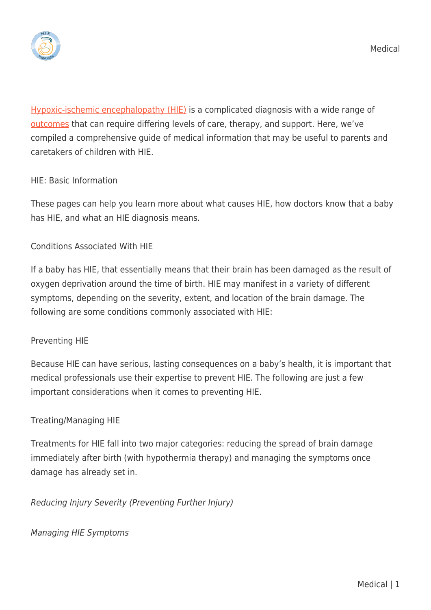

[Hypoxic-ischemic encephalopathy \(HIE\)](https://hiehelpcenter.org/what-is-hypoxic-ischemic-encephalopathy/) is a complicated diagnosis with a wide range of [outcomes](https://hiehelpcenter.org/medical/long-term-outcomes/) that can require differing levels of care, therapy, and support. Here, we've compiled a comprehensive guide of medical information that may be useful to parents and caretakers of children with HIE.

# HIE: Basic Information

These pages can help you learn more about what causes HIE, how doctors know that a baby has HIE, and what an HIE diagnosis means.

## Conditions Associated With HIE

If a baby has HIE, that essentially means that their brain has been damaged as the result of oxygen deprivation around the time of birth. HIE may manifest in a variety of different symptoms, depending on the severity, extent, and location of the brain damage. The following are some conditions commonly associated with HIE:

### Preventing HIE

Because HIE can have serious, lasting consequences on a baby's health, it is important that medical professionals use their expertise to prevent HIE. The following are just a few important considerations when it comes to preventing HIE.

# Treating/Managing HIE

Treatments for HIE fall into two major categories: reducing the spread of brain damage immediately after birth (with hypothermia therapy) and managing the symptoms once damage has already set in.

Reducing Injury Severity (Preventing Further Injury)

Managing HIE Symptoms